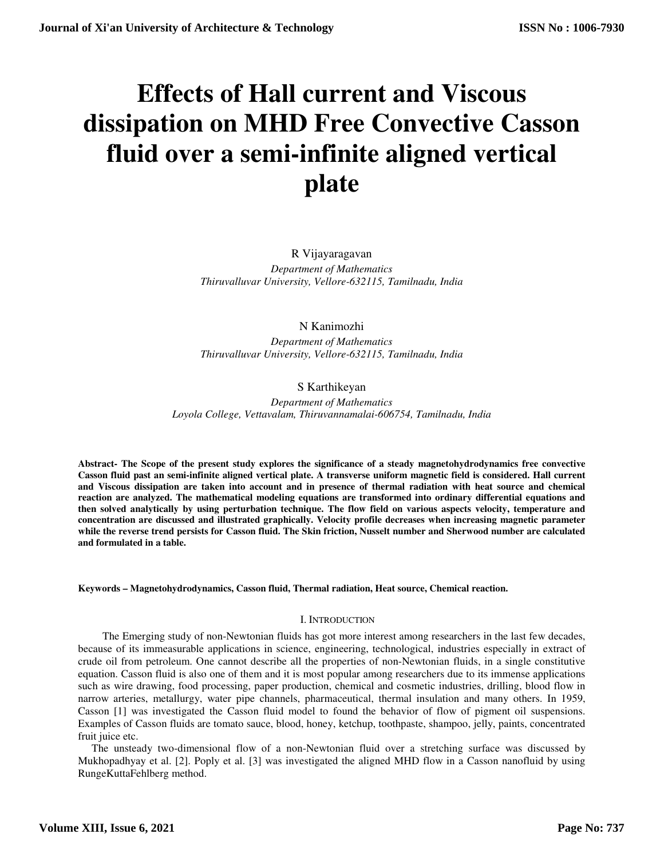# **Effects of Hall current and Viscous dissipation on MHD Free Convective Casson fluid over a semi-infinite aligned vertical plate**

R Vijayaragavan

*Department of Mathematics Thiruvalluvar University, Vellore-632115, Tamilnadu, India* 

N Kanimozhi

*Department of Mathematics Thiruvalluvar University, Vellore-632115, Tamilnadu, India* 

# S Karthikeyan

*Department of Mathematics Loyola College, Vettavalam, Thiruvannamalai-606754, Tamilnadu, India* 

**Abstract- The Scope of the present study explores the significance of a steady magnetohydrodynamics free convective Casson fluid past an semi-infinite aligned vertical plate. A transverse uniform magnetic field is considered. Hall current and Viscous dissipation are taken into account and in presence of thermal radiation with heat source and chemical reaction are analyzed. The mathematical modeling equations are transformed into ordinary differential equations and then solved analytically by using perturbation technique. The flow field on various aspects velocity, temperature and concentration are discussed and illustrated graphically. Velocity profile decreases when increasing magnetic parameter while the reverse trend persists for Casson fluid. The Skin friction, Nusselt number and Sherwood number are calculated and formulated in a table.** 

## **Keywords – Magnetohydrodynamics, Casson fluid, Thermal radiation, Heat source, Chemical reaction.**

## I. INTRODUCTION

 The Emerging study of non-Newtonian fluids has got more interest among researchers in the last few decades, because of its immeasurable applications in science, engineering, technological, industries especially in extract of crude oil from petroleum. One cannot describe all the properties of non-Newtonian fluids, in a single constitutive equation. Casson fluid is also one of them and it is most popular among researchers due to its immense applications such as wire drawing, food processing, paper production, chemical and cosmetic industries, drilling, blood flow in narrow arteries, metallurgy, water pipe channels, pharmaceutical, thermal insulation and many others. In 1959, Casson [1] was investigated the Casson fluid model to found the behavior of flow of pigment oil suspensions. Examples of Casson fluids are tomato sauce, blood, honey, ketchup, toothpaste, shampoo, jelly, paints, concentrated fruit juice etc.

 The unsteady two-dimensional flow of a non-Newtonian fluid over a stretching surface was discussed by Mukhopadhyay et al. [2]. Poply et al. [3] was investigated the aligned MHD flow in a Casson nanofluid by using RungeKuttaFehlberg method.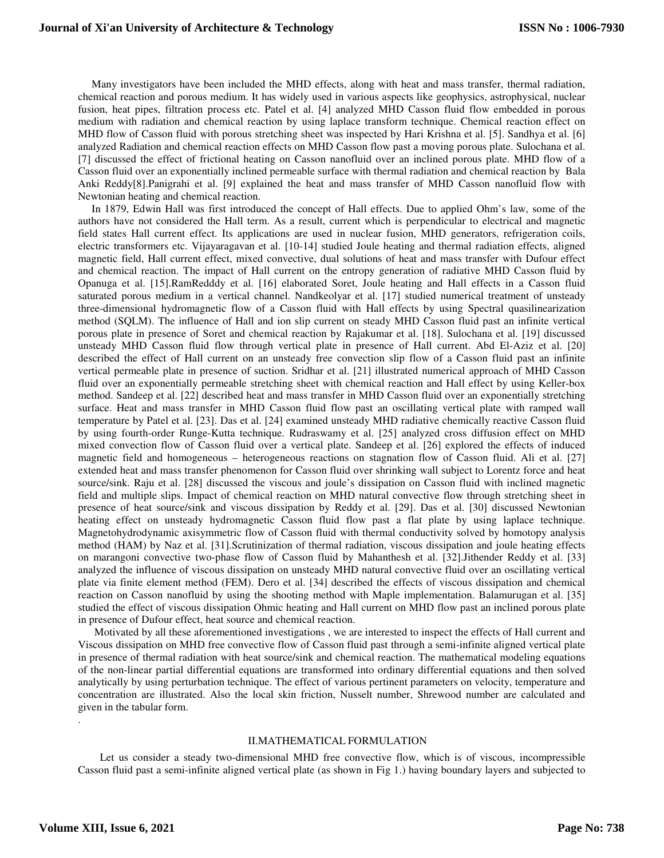Many investigators have been included the MHD effects, along with heat and mass transfer, thermal radiation, chemical reaction and porous medium. It has widely used in various aspects like geophysics, astrophysical, nuclear fusion, heat pipes, filtration process etc. Patel et al. [4] analyzed MHD Casson fluid flow embedded in porous medium with radiation and chemical reaction by using laplace transform technique. Chemical reaction effect on MHD flow of Casson fluid with porous stretching sheet was inspected by Hari Krishna et al. [5]. Sandhya et al. [6] analyzed Radiation and chemical reaction effects on MHD Casson flow past a moving porous plate. Sulochana et al. [7] discussed the effect of frictional heating on Casson nanofluid over an inclined porous plate. MHD flow of a Casson fluid over an exponentially inclined permeable surface with thermal radiation and chemical reaction by Bala Anki Reddy[8].Panigrahi et al. [9] explained the heat and mass transfer of MHD Casson nanofluid flow with Newtonian heating and chemical reaction.

 In 1879, Edwin Hall was first introduced the concept of Hall effects. Due to applied Ohm's law, some of the authors have not considered the Hall term. As a result, current which is perpendicular to electrical and magnetic field states Hall current effect. Its applications are used in nuclear fusion, MHD generators, refrigeration coils, electric transformers etc. Vijayaragavan et al. [10-14] studied Joule heating and thermal radiation effects, aligned magnetic field, Hall current effect, mixed convective, dual solutions of heat and mass transfer with Dufour effect and chemical reaction. The impact of Hall current on the entropy generation of radiative MHD Casson fluid by Opanuga et al. [15].RamRedddy et al. [16] elaborated Soret, Joule heating and Hall effects in a Casson fluid saturated porous medium in a vertical channel. Nandkeolyar et al. [17] studied numerical treatment of unsteady three-dimensional hydromagnetic flow of a Casson fluid with Hall effects by using Spectral quasilinearization method (SQLM). The influence of Hall and ion slip current on steady MHD Casson fluid past an infinite vertical porous plate in presence of Soret and chemical reaction by Rajakumar et al. [18]. Sulochana et al. [19] discussed unsteady MHD Casson fluid flow through vertical plate in presence of Hall current. Abd El-Aziz et al. [20] described the effect of Hall current on an unsteady free convection slip flow of a Casson fluid past an infinite vertical permeable plate in presence of suction. Sridhar et al. [21] illustrated numerical approach of MHD Casson fluid over an exponentially permeable stretching sheet with chemical reaction and Hall effect by using Keller-box method. Sandeep et al. [22] described heat and mass transfer in MHD Casson fluid over an exponentially stretching surface. Heat and mass transfer in MHD Casson fluid flow past an oscillating vertical plate with ramped wall temperature by Patel et al. [23]. Das et al. [24] examined unsteady MHD radiative chemically reactive Casson fluid by using fourth-order Runge-Kutta technique. Rudraswamy et al. [25] analyzed cross diffusion effect on MHD mixed convection flow of Casson fluid over a vertical plate. Sandeep et al. [26] explored the effects of induced magnetic field and homogeneous – heterogeneous reactions on stagnation flow of Casson fluid. Ali et al. [27] extended heat and mass transfer phenomenon for Casson fluid over shrinking wall subject to Lorentz force and heat source/sink. Raju et al. [28] discussed the viscous and joule's dissipation on Casson fluid with inclined magnetic field and multiple slips. Impact of chemical reaction on MHD natural convective flow through stretching sheet in presence of heat source/sink and viscous dissipation by Reddy et al. [29]. Das et al. [30] discussed Newtonian heating effect on unsteady hydromagnetic Casson fluid flow past a flat plate by using laplace technique. Magnetohydrodynamic axisymmetric flow of Casson fluid with thermal conductivity solved by homotopy analysis method (HAM) by Naz et al. [31].Scrutinization of thermal radiation, viscous dissipation and joule heating effects on marangoni convective two-phase flow of Casson fluid by Mahanthesh et al. [32].Jithender Reddy et al. [33] analyzed the influence of viscous dissipation on unsteady MHD natural convective fluid over an oscillating vertical plate via finite element method (FEM). Dero et al. [34] described the effects of viscous dissipation and chemical reaction on Casson nanofluid by using the shooting method with Maple implementation. Balamurugan et al. [35] studied the effect of viscous dissipation Ohmic heating and Hall current on MHD flow past an inclined porous plate in presence of Dufour effect, heat source and chemical reaction.

 Motivated by all these aforementioned investigations , we are interested to inspect the effects of Hall current and Viscous dissipation on MHD free convective flow of Casson fluid past through a semi-infinite aligned vertical plate in presence of thermal radiation with heat source/sink and chemical reaction. The mathematical modeling equations of the non-linear partial differential equations are transformed into ordinary differential equations and then solved analytically by using perturbation technique. The effect of various pertinent parameters on velocity, temperature and concentration are illustrated. Also the local skin friction, Nusselt number, Shrewood number are calculated and given in the tabular form.

#### II.MATHEMATICAL FORMULATION

 Let us consider a steady two-dimensional MHD free convective flow, which is of viscous, incompressible Casson fluid past a semi-infinite aligned vertical plate (as shown in Fig 1.) having boundary layers and subjected to

.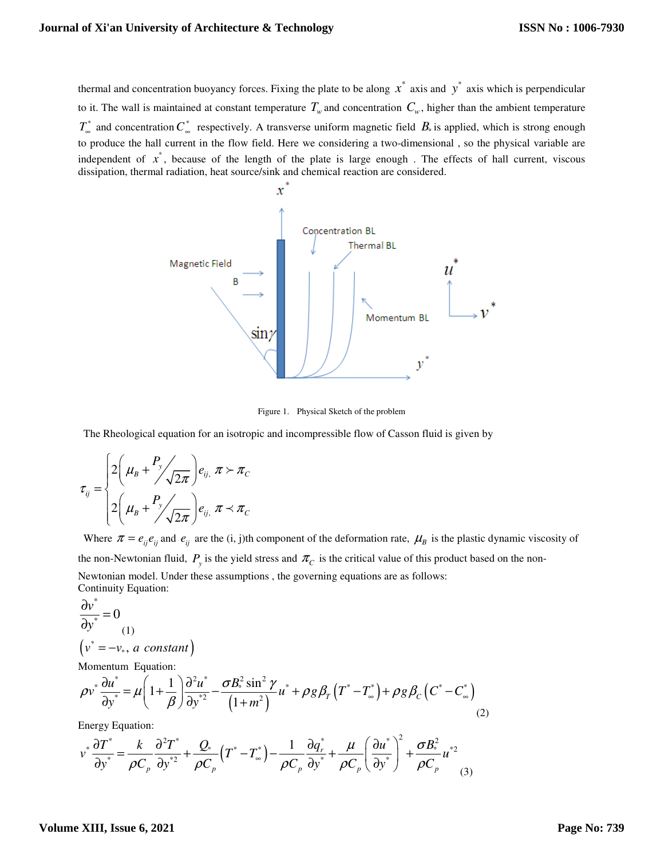thermal and concentration buoyancy forces. Fixing the plate to be along  $x^*$  axis and  $y^*$  axis which is perpendicular to it. The wall is maintained at constant temperature  $T_w$  and concentration  $C_w$ , higher than the ambient temperature  $T_{\infty}^*$  and concentration  $C_{\infty}^*$  respectively. A transverse uniform magnetic field  $B_{\circ}$  is applied, which is strong enough to produce the hall current in the flow field. Here we considering a two-dimensional , so the physical variable are independent of  $x^*$ , because of the length of the plate is large enough. The effects of hall current, viscous dissipation, thermal radiation, heat source/sink and chemical reaction are considered.



Figure 1. Physical Sketch of the problem

The Rheological equation for an isotropic and incompressible flow of Casson fluid is given by

$$
\tau_{ij} = \begin{cases} 2\left(\mu_B + \frac{P_y}{\sqrt{2\pi}}\right) e_{ij}, \pi > \pi_C \\ 2\left(\mu_B + \frac{P_y}{\sqrt{2\pi}}\right) e_{ij}, \pi \prec \pi_C \end{cases}
$$

Where  $\pi = e_{ij}e_{ij}$  and  $e_{ij}$  are the (i, j)th component of the deformation rate,  $\mu_B$  is the plastic dynamic viscosity of the non-Newtonian fluid,  $P_y$  is the yield stress and  $\pi_c$  is the critical value of this product based on the non-Newtonian model. Under these assumptions , the governing equations are as follows: Continuity Equation:

$$
\frac{\partial v^*}{\partial y^*} = 0
$$
  
(1)  

$$
(v^* = -v_*, a \text{ constant})
$$

Momentum Equation:

$$
\rho v^* \frac{\partial u^*}{\partial y^*} = \mu \left( 1 + \frac{1}{\beta} \right) \frac{\partial^2 u^*}{\partial y^{*2}} - \frac{\sigma B_\circ^2 \sin^2 \gamma}{\left( 1 + m^2 \right)} u^* + \rho g \beta_T \left( T^* - T_\infty^* \right) + \rho g \beta_C \left( C^* - C_\infty^* \right) \tag{2}
$$

Energy Equation:

$$
v^* \frac{\partial T^*}{\partial y^*} = \frac{k}{\rho C_p} \frac{\partial^2 T^*}{\partial y^{*2}} + \frac{Q}{\rho C_p} \left( T^* - T^*_{\infty} \right) - \frac{1}{\rho C_p} \frac{\partial q^*}{\partial y^*} + \frac{\mu}{\rho C_p} \left( \frac{\partial u^*}{\partial y^*} \right)^2 + \frac{\sigma B^2}{\rho C_p} u^{*2}
$$
(3)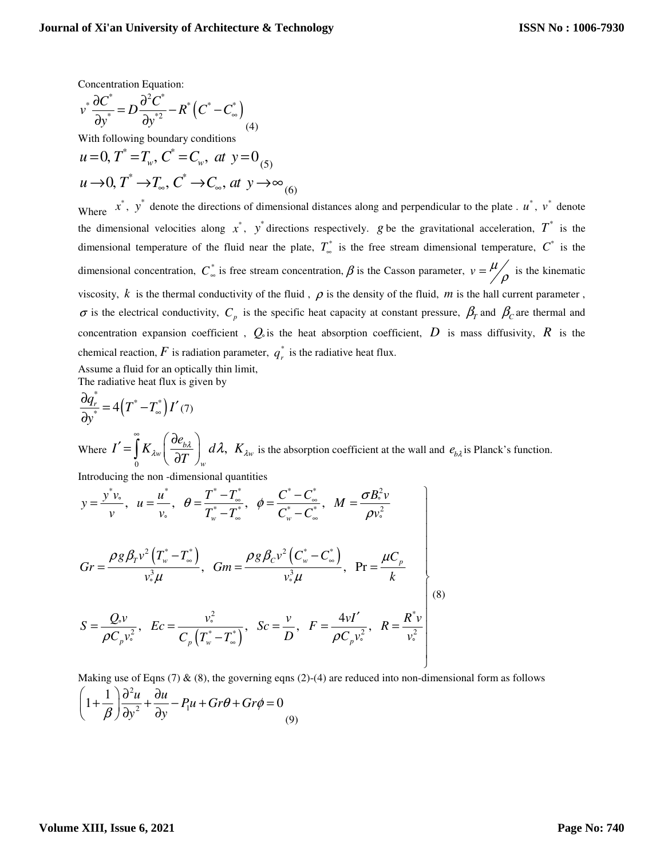Concentration Equation:

$$
v^* \frac{\partial C^*}{\partial y^*} = D \frac{\partial^2 C^*}{\partial y^{*2}} - R^* (C^* - C^*)
$$
  
\nWith following boundary conditions  
\n
$$
u = 0, T^* = T_w, C^* = C_w, at \ y = 0
$$
  
\n
$$
u \rightarrow 0, T^* \rightarrow T_w, C^* \rightarrow C_w, at \ y \rightarrow \infty
$$

Where  $x^*$ ,  $y^*$  denote the directions of dimensional distances along and perpendicular to the plate .  $u^*$ ,  $v^*$  denote the dimensional velocities along  $x^*$ ,  $y^*$  directions respectively. *g* be the gravitational acceleration,  $T^*$  is the dimensional temperature of the fluid near the plate,  $T^*_{\infty}$  is the free stream dimensional temperature,  $C^*$  is the dimensional concentration,  $C_{\infty}^{*}$  is free stream concentration,  $\beta$  is the Casson parameter,  $v = \frac{\mu}{\gamma}$  $=\frac{\mu}{\rho}$  is the kinematic viscosity,  $k$  is the thermal conductivity of the fluid,  $\rho$  is the density of the fluid,  $m$  is the hall current parameter,  $\sigma$  is the electrical conductivity,  $C_p$  is the specific heat capacity at constant pressure,  $\beta_T$  and  $\beta_C$  are thermal and concentration expansion coefficient,  $Q_{\text{o}}$  is the heat absorption coefficient,  $D$  is mass diffusivity,  $R$  is the chemical reaction,  $F$  is radiation parameter,  $q_r^*$  is the radiative heat flux.

Assume a fluid for an optically thin limit,

The radiative heat flux is given by

$$
\frac{\partial q_r^*}{\partial y^*} = 4(T^* - T_{\infty}^*)I'(\tau)
$$
  
Where  $I' = \int_0^{\infty} K_{\lambda w} \left( \frac{\partial e_{b\lambda}}{\partial T} \right)_w d\lambda$ ,  $K_{\lambda w}$  is the absorption coefficient at the wall and  $e_{b\lambda}$  is Planck's function.

Introducing the non -dimensional quantities

$$
y = \frac{y^* v_{\circ}}{v}, \quad u = \frac{u^*}{v_{\circ}}, \quad \theta = \frac{T^* - T^*_{\circ}}{T^*_{w} - T^*_{\circ}}, \quad \phi = \frac{C^* - C^*_{\circ}}{C^*_{w} - C^*_{\circ}}, \quad M = \frac{\sigma B_{\circ}^2 v}{\rho v_{\circ}^2}
$$
\n
$$
Gr = \frac{\rho g \beta_T v^2 (T^*_{w} - T^*_{\circ})}{v_{\circ}^3 \mu}, \quad Gm = \frac{\rho g \beta_C v^2 (C^*_{w} - C^*_{\circ})}{v_{\circ}^3 \mu}, \quad Pr = \frac{\mu C_p}{k}
$$
\n
$$
S = \frac{Q_{\circ} v}{\rho C_p v_{\circ}^2}, \quad Ec = \frac{v_{\circ}^2}{C_p (T^*_{w} - T^*_{\circ})}, \quad Sc = \frac{v}{D}, \quad F = \frac{4vI'}{\rho C_p v_{\circ}^2}, \quad R = \frac{R^* v}{v_{\circ}^2}
$$
\n(8)

Making use of Eqns (7)  $\&$  (8), the governing eqns (2)-(4) are reduced into non-dimensional form as follows 2 2 2,  $1$  $1 + \frac{1}{\epsilon} \left( \frac{\partial^2 u}{\partial x^2} + \frac{\partial u}{\partial y^2} - P_1 u + G r \theta + G r \phi \right) = 0$  $y^2$  dy  $\theta$ +Gr $\phi$  $\left(1+\frac{1}{\beta}\right)\frac{\partial^2 u}{\partial y^2} + \frac{\partial u}{\partial y} - P_1 u + Gr\theta + Gr\phi =$  $\left(\begin{array}{cc} \beta\end{array}\right) \partial y^2 \partial y$  (9)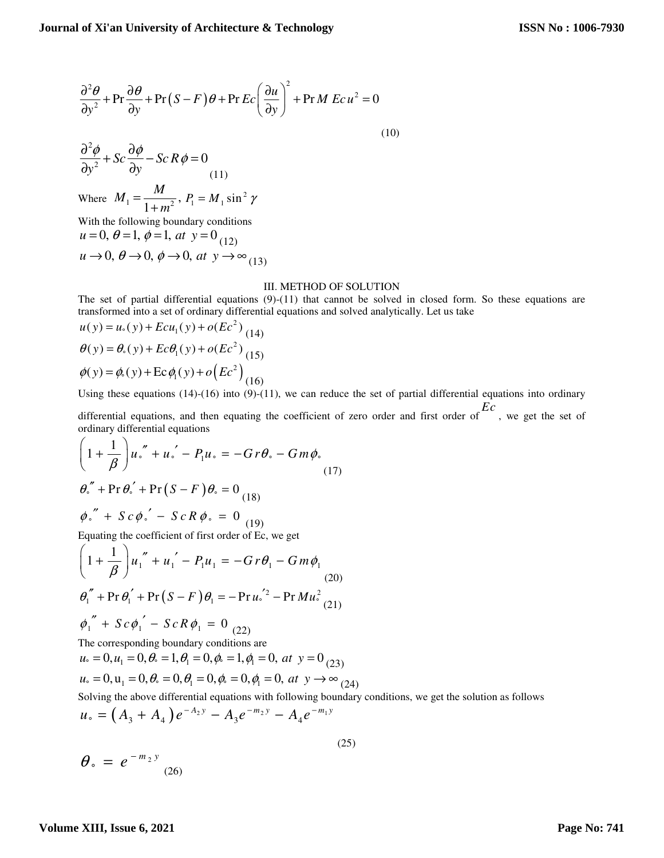$$
\frac{\partial^2 \theta}{\partial y^2} + \Pr \frac{\partial \theta}{\partial y} + \Pr (S - F) \theta + \Pr Ec \left( \frac{\partial u}{\partial y} \right)^2 + \Pr M Ec u^2 = 0
$$
  

$$
\frac{\partial^2 \phi}{\partial y^2} + Sc \frac{\partial \phi}{\partial y} - Sc R \phi = 0
$$
  
(10)  
Where  $M_1 = \frac{M}{1 + m^2}$ ,  $P_1 = M_1 \sin^2 \gamma$ 

Where  $M_1 = \frac{M}{1 + m^2}$ , 1 *m* + With the following boundary conditions

$$
u = 0, \theta = 1, \phi = 1, at y = 0
$$
 (12)

$$
u \to 0, \, \theta \to 0, \, \phi \to 0, \, at \, y \to \infty
$$
 (13)

#### III. METHOD OF SOLUTION

The set of partial differential equations (9)-(11) that cannot be solved in closed form. So these equations are transformed into a set of ordinary differential equations and solved analytically. Let us take

2 1 *u y u y Ecu y o Ec* ( ) ( ) ( ) ( ) = + + ° (14) 2 <sup>1</sup> <sup>θ</sup> <sup>θ</sup> <sup>θ</sup> ( ) ( ) ( ) ( ) *y y Ec y o Ec* = + + ° (15) ( ) 2 <sup>1</sup> φ φ φ ( ) ( ) Ec ( ) *y y y o Ec* = + + ° (16)

Using these equations  $(14)-(16)$  into  $(9)-(11)$ , we can reduce the set of partial differential equations into ordinary differential equations, and then equating the coefficient of zero order and first order of *Ec* , we get the set of ordinary differential equations

$$
\left(1 + \frac{1}{\beta}\right)u'' + u' - P_1u = -Gr\theta - Gm\phi.
$$
\n
$$
\theta'' + \Pr \theta' + \Pr\left(S - F\right)\theta = 0
$$
\n
$$
\phi'' + Sc\phi' - ScR\phi = 0
$$
\n
$$
\text{Equating the coefficient of first order of Ec, we get}
$$

$$
\left(1 + \frac{1}{\beta}\right)u_1'' + u_1' - P_1u_1 = -G r \theta_1 - G m \phi_1
$$
\n(20)  
\n
$$
\theta_1'' + \Pr \theta_1' + \Pr \left(S - F\right) \theta_1 = -\Pr u_1'^2 - \Pr M u_1^2
$$
\n(21)  
\n
$$
\phi_1'' + S c \phi_1' - S c R \phi_1 = 0
$$
\n(22)  
\nThe corresponding boundary conditions are  
\n
$$
u_0 = 0, u_1 = 0, \theta_0 = 1, \theta_1 = 0, \phi_0 = 1, \phi_1 = 0, \text{ at } y = 0
$$
\n(23)

$$
u_{\circ} = 0, u_1 = 0, \theta_{\circ} = 0, \theta_1 = 0, \phi_{\circ} = 0, \phi_1 = 0, \text{ at } y \to \infty \tag{24}
$$

Solving the above differential equations with following boundary conditions, we get the solution as follows

(25)

$$
u_{\circ} = (A_3 + A_4) e^{-A_2 y} - A_3 e^{-m_2 y} - A_4 e^{-m_1 y}
$$

$$
\theta_{\circ} = e^{-m_2 y} \tag{26}
$$

**Volume XIII, Issue 6, 2021**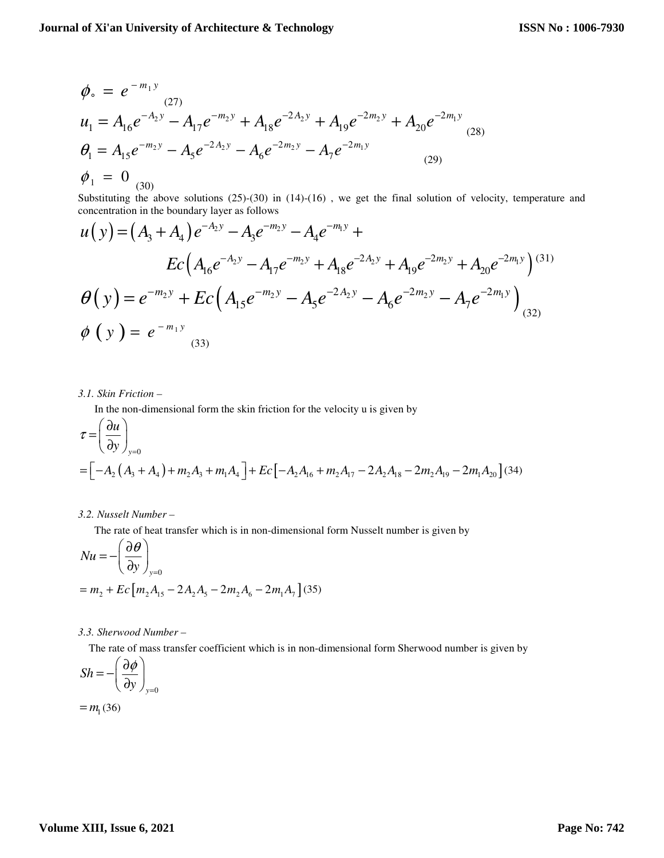$$
\phi_{\circ} = e^{-m_1 y}
$$
\n
$$
u_1 = A_{16}e^{-A_2 y} - A_{17}e^{-m_2 y} + A_{18}e^{-2A_2 y} + A_{19}e^{-2m_2 y} + A_{20}e^{-2m_1 y}
$$
\n
$$
\theta_1 = A_{15}e^{-m_2 y} - A_5e^{-2A_2 y} - A_6e^{-2m_2 y} - A_7e^{-2m_1 y}
$$
\n
$$
\phi_1 = 0
$$
\n(29)\n
$$
u_2 = 0
$$

Substituting the above solutions (25)-(30) in (14)-(16), we get the final solution of velocity, temperature and concentration in the boundary layer as follows

$$
u(y) = (A_3 + A_4)e^{-A_2y} - A_3e^{-m_2y} - A_4e^{-m_1y} +
$$
  
\n
$$
Ec(A_{16}e^{-A_2y} - A_{17}e^{-m_2y} + A_{18}e^{-2A_2y} + A_{19}e^{-2m_2y} + A_{20}e^{-2m_1y})^{(31)}
$$
  
\n
$$
\theta(y) = e^{-m_2y} + Ec(A_{15}e^{-m_2y} - A_5e^{-2A_2y} - A_6e^{-2m_2y} - A_7e^{-2m_1y})
$$
  
\n
$$
\phi(y) = e^{-m_1y}
$$
  
\n(32)

## *3.1. Skin Friction –*

In the non-dimensional form the skin friction for the velocity u is given by

$$
\tau = \left(\frac{\partial u}{\partial y}\right)_{y=0}
$$
  
=  $\left[-A_2\left(A_3 + A_4\right) + m_2A_3 + m_1A_4\right] + Ec\left[-A_2A_{16} + m_2A_{17} - 2A_2A_{18} - 2m_2A_{19} - 2m_1A_{20}\right]$  (34)

#### *3.2. Nusselt Number –*

The rate of heat transfer which is in non-dimensional form Nusselt number is given by

$$
Nu = -\left(\frac{\partial \theta}{\partial y}\right)_{y=0}
$$
  
=  $m_2 + Ec \left[m_2 A_{15} - 2A_2 A_5 - 2m_2 A_6 - 2m_1 A_7\right]$  (35)

# *3.3. Sherwood Number –*

The rate of mass transfer coefficient which is in non-dimensional form Sherwood number is given by

$$
Sh = -\left(\frac{\partial \phi}{\partial y}\right)_{y=0}
$$
  
=  $m_1(36)$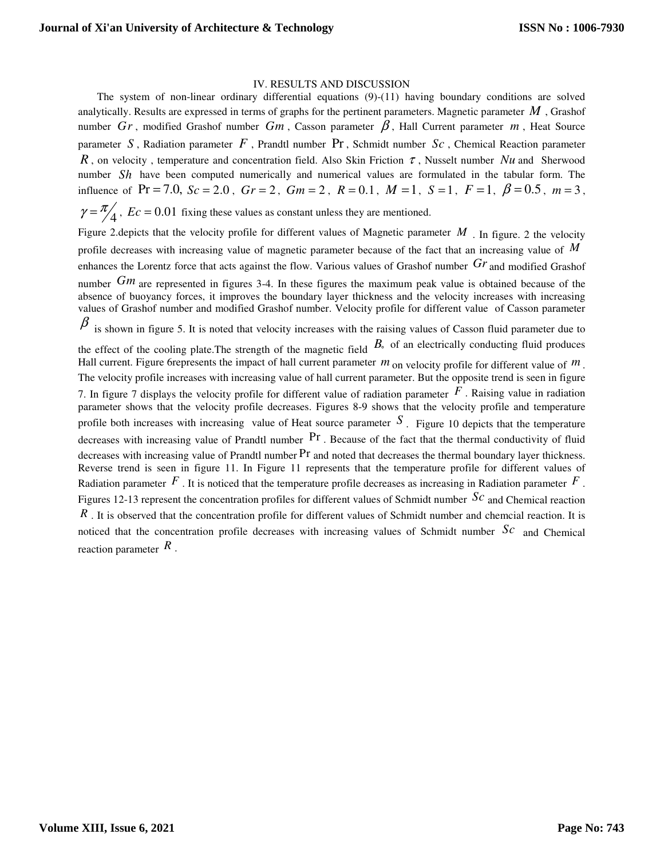### IV. RESULTS AND DISCUSSION

 The system of non-linear ordinary differential equations (9)-(11) having boundary conditions are solved analytically. Results are expressed in terms of graphs for the pertinent parameters. Magnetic parameter *M* , Grashof number *Gr* , modified Grashof number *Gm* , Casson parameter β , Hall Current parameter *m* , Heat Source parameter *S* , Radiation parameter *F* , Prandtl number Pr , Schmidt number *Sc* , Chemical Reaction parameter *R*, on velocity, temperature and concentration field. Also Skin Friction  $\tau$ , Nusselt number *Nu* and Sherwood number *Sh* have been computed numerically and numerical values are formulated in the tabular form. The influence of Pr = 7.0,  $Sc = 2.0$ ,  $Gr = 2$ ,  $Gm = 2$ ,  $R = 0.1$ ,  $M = 1$ ,  $S = 1$ ,  $F = 1$ ,  $\beta = 0.5$ ,  $m = 3$ ,  $\gamma = \frac{\pi}{4}$ ,  $Ec = 0.01$  fixing these values as constant unless they are mentioned. Figure 2.depicts that the velocity profile for different values of Magnetic parameter M . In figure. 2 the velocity profile decreases with increasing value of magnetic parameter because of the fact that an increasing value of *M* enhances the Lorentz force that acts against the flow. Various values of Grashof number *Gr* and modified Grashof number  $Gm$  are represented in figures 3-4. In these figures the maximum peak value is obtained because of the absence of buoyancy forces, it improves the boundary layer thickness and the velocity increases with increasing values of Grashof number and modified Grashof number. Velocity profile for different value of Casson parameter  $\beta$  is shown in figure 5. It is noted that velocity increases with the raising values of Casson fluid parameter due to the effect of the cooling plate. The strength of the magnetic field  $B_{\circ}$  of an electrically conducting fluid produces Hall current. Figure 6represents the impact of hall current parameter  $m$  on velocity profile for different value of  $m$ . The velocity profile increases with increasing value of hall current parameter. But the opposite trend is seen in figure 7. In figure 7 displays the velocity profile for different value of radiation parameter *F* . Raising value in radiation parameter shows that the velocity profile decreases. Figures 8-9 shows that the velocity profile and temperature profile both increases with increasing value of Heat source parameter *S* . Figure 10 depicts that the temperature decreases with increasing value of Prandtl number  $Pr$ . Because of the fact that the thermal conductivity of fluid decreases with increasing value of Prandtl number Pr and noted that decreases the thermal boundary layer thickness. Reverse trend is seen in figure 11. In Figure 11 represents that the temperature profile for different values of Radiation parameter *F* . It is noticed that the temperature profile decreases as increasing in Radiation parameter *F* . Figures 12-13 represent the concentration profiles for different values of Schmidt number *Sc* and Chemical reaction *R*. It is observed that the concentration profile for different values of Schmidt number and chemcial reaction. It is noticed that the concentration profile decreases with increasing values of Schmidt number *Sc* and Chemical reaction parameter *R* .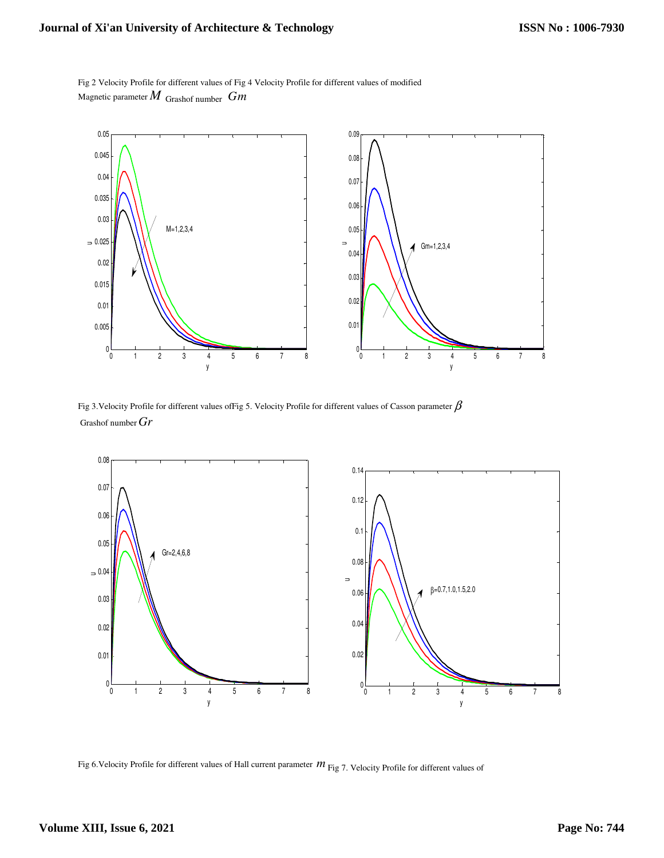



Fig 3.Velocity Profile for different values of Fig 5. Velocity Profile for different values of Casson parameter  $\beta$ Grashof number*Gr*



Fig 6.Velocity Profile for different values of Hall current parameter  $m$  Fig 7. Velocity Profile for different values of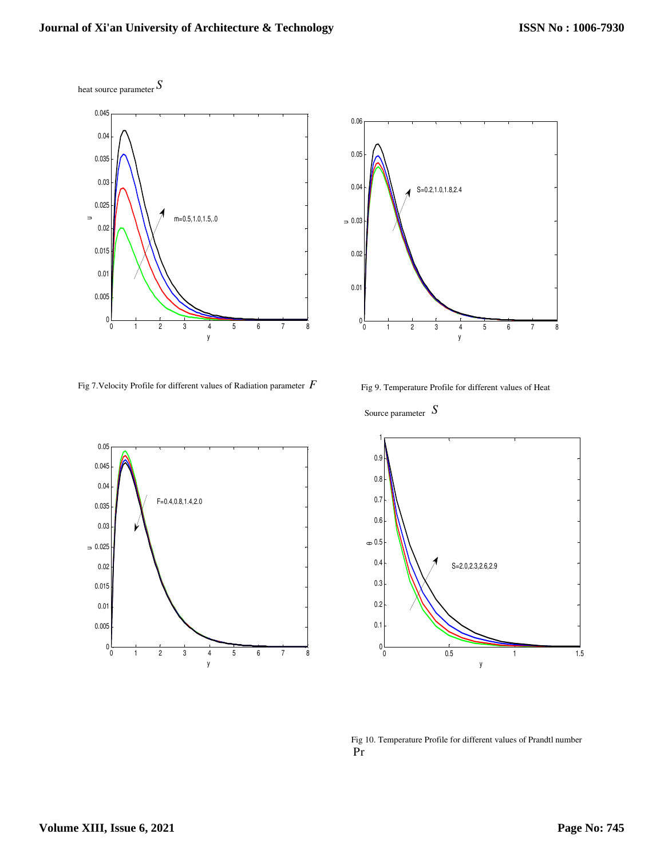heat source parameter *S*



Fig 7. Velocity Profile for different values of Radiation parameter  $F$  Fig 9. Temperature Profile for different values of Heat



Source parameter *S*





Fig 10. Temperature Profile for different values of Prandtl number Pr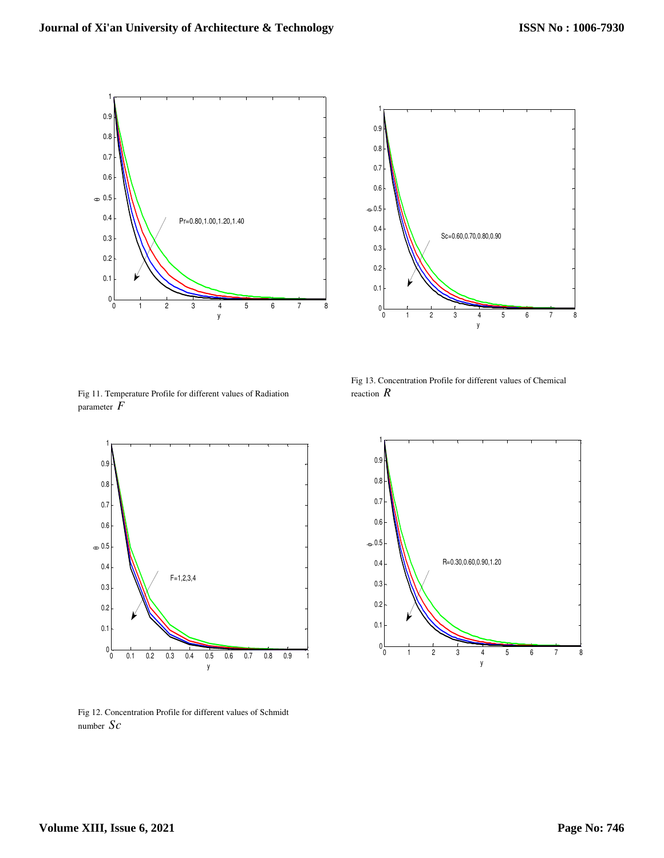



Fig 11. Temperature Profile for different values of Radiation parameter *F*





Fig 12. Concentration Profile for different values of Schmidt number *Sc*

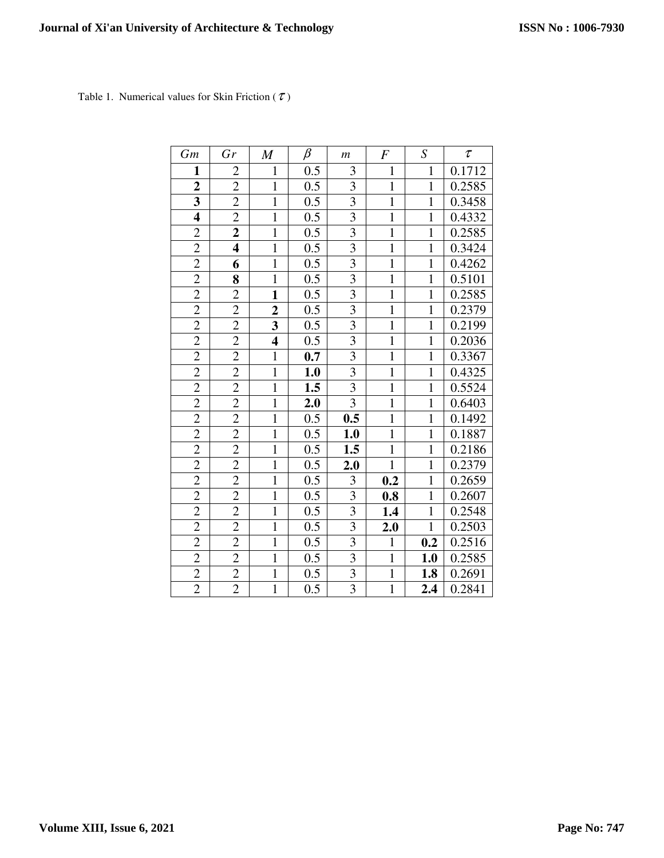|  | Table 1. Numerical values for Skin Friction $(\tau)$ |  |  |  |  |
|--|------------------------------------------------------|--|--|--|--|
|--|------------------------------------------------------|--|--|--|--|

| Gm                          | Gr                      | $\boldsymbol{M}$        | $\beta$          | $\mathfrak{m}$            | $\overline{F}$ | S              | $\tau$ |
|-----------------------------|-------------------------|-------------------------|------------------|---------------------------|----------------|----------------|--------|
| $\mathbf{1}$                | $\overline{2}$          | $\mathbf{1}$            | 0.5              | 3                         | $\mathbf{1}$   | $\mathbf{1}$   | 0.1712 |
| $\overline{\mathbf{2}}$     | $\overline{2}$          | $\mathbf{1}$            | 0.5              | 3                         | $\mathbf{1}$   | $\mathbf{1}$   | 0.2585 |
| $\overline{\mathbf{3}}$     | $\overline{2}$          | $\overline{1}$          | 0.5              | $\overline{\mathbf{3}}$   | $\overline{1}$ | $\overline{1}$ | 0.3458 |
| $\overline{\mathbf{4}}$     | $\overline{2}$          | $\overline{1}$          | 0.5              | $\overline{3}$            | $\mathbf{1}$   | $\mathbf{1}$   | 0.4332 |
|                             | $\overline{\mathbf{c}}$ | $\overline{1}$          | $\overline{0.5}$ | $\overline{3}$            | $\mathbf{1}$   | $\mathbf{1}$   | 0.2585 |
| $\frac{2}{2}$               | $\overline{\mathbf{4}}$ | $\overline{1}$          | $\overline{0.5}$ | $\overline{\overline{3}}$ | $\overline{1}$ | $\overline{1}$ | 0.3424 |
|                             | 6                       | $\mathbf{1}$            | 0.5              | $\frac{3}{3}$             | $\mathbf{1}$   | $\mathbf{1}$   | 0.4262 |
| $\frac{2}{2}$               | 8                       | $\mathbf{1}$            | 0.5              |                           | $\mathbf 1$    | $\mathbf{1}$   | 0.5101 |
| $\overline{2}$              | $\overline{2}$          | $\overline{\mathbf{1}}$ | 0.5              | $\overline{\mathbf{3}}$   | $\mathbf{1}$   | $\overline{1}$ | 0.2585 |
| $\overline{2}$              | $\overline{2}$          | $\overline{2}$          | $0.\overline{5}$ | $\overline{\mathbf{3}}$   | $\mathbf{1}$   | $\mathbf{1}$   | 0.2379 |
| $\overline{2}$              | $\overline{2}$          | $\overline{\mathbf{3}}$ | $\overline{0.5}$ | $\overline{3}$            | $\mathbf{1}$   | $\mathbf{1}$   | 0.2199 |
| $\overline{2}$              | $\overline{2}$          | $\overline{\bf{4}}$     | $0.\overline{5}$ | $\overline{3}$            | $\overline{1}$ | $\overline{1}$ | 0.2036 |
| $\overline{2}$              | $\overline{2}$          | $\overline{1}$          | 0.7              | $\overline{\mathbf{3}}$   | $\mathbf{1}$   | $\mathbf{1}$   | 0.3367 |
| $\overline{2}$              | $\overline{2}$          | $\overline{1}$          | 1.0              | $\overline{\mathbf{3}}$   | $\mathbf{1}$   | $\mathbf{1}$   | 0.4325 |
| $\overline{2}$              | $\overline{2}$          | $\overline{1}$          | 1.5              | $\overline{3}$            | $\mathbf{1}$   | $\mathbf{1}$   | 0.5524 |
| $\frac{2}{2}$ $\frac{2}{2}$ | $\overline{2}$          | $\mathbf{1}$            | 2.0              | $\overline{\mathbf{3}}$   | $\mathbf{1}$   | $\mathbf{1}$   | 0.6403 |
|                             | $\overline{2}$          | $\mathbf{1}$            | 0.5              | 0.5                       | $\mathbf{1}$   | $\mathbf{1}$   | 0.1492 |
|                             | $\overline{2}$          | $\overline{1}$          | $\overline{0.5}$ | 1.0                       | $\overline{1}$ | $\overline{1}$ | 0.1887 |
|                             | $\overline{2}$          | $\overline{1}$          | $\overline{0.5}$ | 1.5                       | $\mathbf{1}$   | $\mathbf{1}$   | 0.2186 |
| $\frac{2}{2}$               | $\overline{2}$          | $\overline{1}$          | 0.5              | $\overline{2.0}$          | $\mathbf{1}$   | $\mathbf{1}$   | 0.2379 |
|                             | $\overline{2}$          | $\overline{1}$          | $\overline{0.5}$ | $\overline{\mathbf{3}}$   | 0.2            | $\mathbf{1}$   | 0.2659 |
| $\overline{2}$              | $\overline{c}$          | $\mathbf{1}$            | 0.5              | $\overline{3}$            | 0.8            | $\mathbf{1}$   | 0.2607 |
| $\frac{2}{2}$               | $\overline{2}$          | $\mathbf{1}$            | $\overline{0.5}$ | $\frac{3}{3}$             | 1.4            | $\mathbf{1}$   | 0.2548 |
|                             | $\overline{2}$          | $\overline{1}$          | 0.5              |                           | 2.0            | $\mathbf{1}$   | 0.2503 |
| $\frac{2}{2}$               | $\overline{2}$          | $\mathbf{1}$            | 0.5              | $\frac{3}{3}$             | $\mathbf{1}$   | 0.2            | 0.2516 |
|                             | $\overline{2}$          | $\overline{1}$          | $0.\overline{5}$ |                           | $\overline{1}$ | 1.0            | 0.2585 |
| $\frac{2}{2}$               | $\overline{2}$          | $\mathbf{1}$            | 0.5              | $\frac{3}{3}$             | $\mathbf{1}$   | 1.8            | 0.2691 |
|                             | $\overline{2}$          | $\overline{1}$          | 0.5              |                           | $\overline{1}$ | 2.4            | 0.2841 |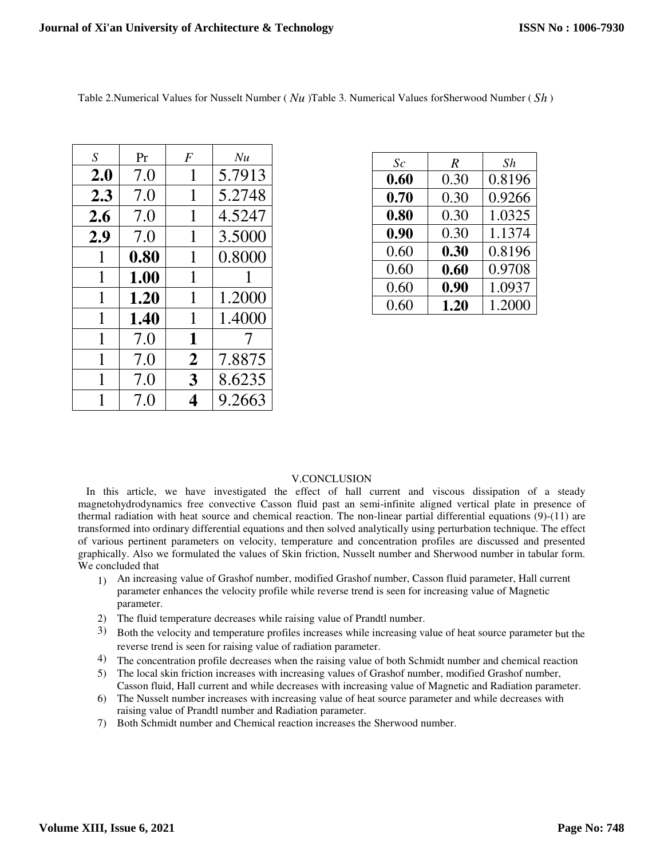| S   | Pr   | $\bm{F}$       | Nu     |
|-----|------|----------------|--------|
| 2.0 | 7.0  | 1              | 5.7913 |
| 2.3 | 7.0  | 1              | 5.2748 |
| 2.6 | 7.0  | 1              | 4.5247 |
| 2.9 | 7.0  | 1              | 3.5000 |
| 1   | 0.80 | 1              | 0.8000 |
| 1   | 1.00 | 1              |        |
| 1   | 1.20 | 1              | 1.2000 |
| 1   | 1.40 | 1              | 1.4000 |
| 1   | 7.0  | 1              | 7      |
| 1   | 7.0  | $\overline{2}$ | 7.8875 |
| 1   | 7.0  | 3              | 8.6235 |
| 1   | 7.0  | 4              | 9.2663 |

Table 2.Numerical Values for Nusselt Number ( *Nu* )Table 3. Numerical Values forSherwood Number ( *Sh* )

| Sc   | $\boldsymbol{R}$ | Sh     |
|------|------------------|--------|
| 0.60 | 0.30             | 0.8196 |
| 0.70 | 0.30             | 0.9266 |
| 0.80 | 0.30             | 1.0325 |
| 0.90 | 0.30             | 1.1374 |
| 0.60 | 0.30             | 0.8196 |
| 0.60 | 0.60             | 0.9708 |
| 0.60 | 0.90             | 1.0937 |
| 0.60 | 1.20             | 1.2000 |

# V.CONCLUSION

 In this article, we have investigated the effect of hall current and viscous dissipation of a steady magnetohydrodynamics free convective Casson fluid past an semi-infinite aligned vertical plate in presence of thermal radiation with heat source and chemical reaction. The non-linear partial differential equations (9)-(11) are transformed into ordinary differential equations and then solved analytically using perturbation technique. The effect of various pertinent parameters on velocity, temperature and concentration profiles are discussed and presented graphically. Also we formulated the values of Skin friction, Nusselt number and Sherwood number in tabular form. We concluded that

- 1) An increasing value of Grashof number, modified Grashof number, Casson fluid parameter, Hall current parameter enhances the velocity profile while reverse trend is seen for increasing value of Magnetic parameter.
- 2) The fluid temperature decreases while raising value of Prandtl number.
- 3) Both the velocity and temperature profiles increases while increasing value of heat source parameter but the reverse trend is seen for raising value of radiation parameter.
- 4) The concentration profile decreases when the raising value of both Schmidt number and chemical reaction
- 5) The local skin friction increases with increasing values of Grashof number, modified Grashof number, Casson fluid, Hall current and while decreases with increasing value of Magnetic and Radiation parameter.
- 6) The Nusselt number increases with increasing value of heat source parameter and while decreases with raising value of Prandtl number and Radiation parameter.
- 7) Both Schmidt number and Chemical reaction increases the Sherwood number.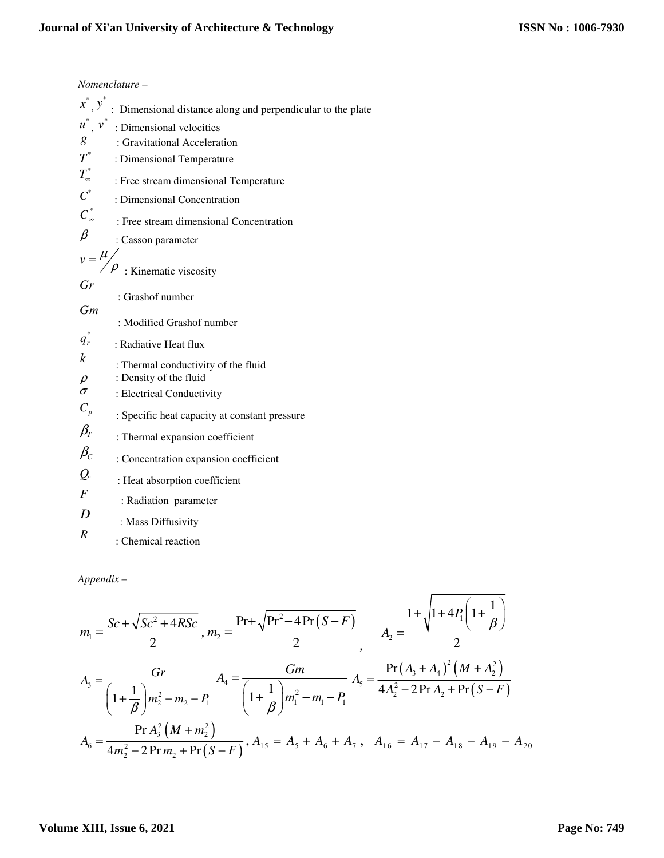*Nomenclature –*  \* *x* , \* *y* : Dimensional distance along and perpendicular to the plate \* *u* ,  $\cdot$   $v^*$ *v* : Dimensional velocities *g* : Gravitational Acceleration  $T^*$ *T* : Dimensional Temperature  $T^*_{\infty}$ *<sup>T</sup>*<sup>∞</sup> : Free stream dimensional Temperature  $\begin{pmatrix} C^* & & \text{. Dimensional Concentration} \\ C^* & & \text{. Free stream dimensional Co} \end{pmatrix}$ : Free stream dimensional Concentration  $\beta$  : Casson parameter  $v = \frac{\mu}{4}$  $\rho$ : Kinematic viscosity *Gr* : Grashof number *Gm* : Modified Grashof number  $q^*_r$  : Radiative Heat flux *k* : Thermal conductivity of the fluid  $\rho$  : Density of the fluid  $\sigma$  : Electrical Conductivity *Cp* : Specific heat capacity at constant pressure  $\beta$ <sup>T</sup> : Thermal expansion coefficient  $\beta_c$  : Concentration expansion coefficient *Q*° : Heat absorption coefficient *F* : Radiation parameter *<sup>D</sup>* : Mass Diffusivity *R* : Chemical reaction

*Appendix –* 

$$
m_{1} = \frac{Sc + \sqrt{Sc^{2} + 4RSc}}{2}, m_{2} = \frac{\Pr + \sqrt{\Pr^{2} - 4\Pr(S - F)}}{2}, A_{2} = \frac{1 + \sqrt{1 + 4P_{1}\left(1 + \frac{1}{\beta}\right)}}{2}
$$
  
\n
$$
A_{3} = \frac{Gr}{\left(1 + \frac{1}{\beta}\right)m_{2}^{2} - m_{2} - P_{1}} A_{4} = \frac{Gm}{\left(1 + \frac{1}{\beta}\right)m_{1}^{2} - m_{1} - P_{1}} A_{5} = \frac{\Pr(A_{3} + A_{4})^{2}(M + A_{2}^{2})}{4A_{2}^{2} - 2\Pr A_{2} + \Pr(S - F)}
$$
  
\n
$$
A_{6} = \frac{\Pr A_{3}^{2}(M + m_{2}^{2})}{4m_{2}^{2} - 2\Pr m_{2} + \Pr(S - F)}, A_{15} = A_{5} + A_{6} + A_{7}, A_{16} = A_{17} - A_{18} - A_{19} - A_{20}
$$

# **Volume XIII, Issue 6, 2021**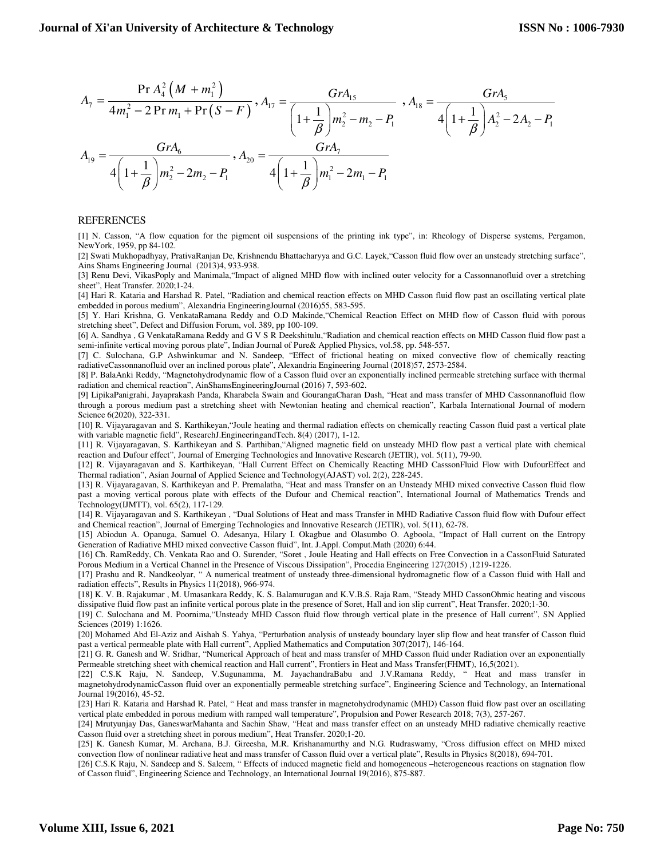$$
A_{7} = \frac{\Pr A_{4}^{2} (M + m_{1}^{2})}{4m_{1}^{2} - 2\Pr m_{1} + \Pr (S - F)}, A_{17} = \frac{GrA_{15}}{\left(1 + \frac{1}{\beta}\right)m_{2}^{2} - m_{2} - P_{1}}, A_{18} = \frac{GrA_{5}}{4\left(1 + \frac{1}{\beta}\right)A_{2}^{2} - 2A_{2} - P_{1}}
$$
  

$$
A_{19} = \frac{GrA_{6}}{4\left(1 + \frac{1}{\beta}\right)m_{2}^{2} - 2m_{2} - P_{1}}, A_{20} = \frac{GrA_{7}}{4\left(1 + \frac{1}{\beta}\right)m_{1}^{2} - 2m_{1} - P_{1}}
$$

#### REFERENCES

[1] N. Casson, "A flow equation for the pigment oil suspensions of the printing ink type", in: Rheology of Disperse systems, Pergamon, NewYork, 1959, pp 84-102.

[2] Swati Mukhopadhyay, PrativaRanjan De, Krishnendu Bhattacharyya and G.C. Layek,"Casson fluid flow over an unsteady stretching surface", Ains Shams Engineering Journal (2013)4, 933-938.

[3] Renu Devi, VikasPoply and Manimala,"Impact of aligned MHD flow with inclined outer velocity for a Cassonnanofluid over a stretching sheet", Heat Transfer. 2020;1-24.

[4] Hari R. Kataria and Harshad R. Patel, "Radiation and chemical reaction effects on MHD Casson fluid flow past an oscillating vertical plate embedded in porous medium", Alexandria EngineeringJournal (2016)55, 583-595.

[5] Y. Hari Krishna, G. VenkataRamana Reddy and O.D Makinde,"Chemical Reaction Effect on MHD flow of Casson fluid with porous stretching sheet", Defect and Diffusion Forum, vol. 389, pp 100-109.

[6] A. Sandhya , G VenkataRamana Reddy and G V S R Deekshitulu,"Radiation and chemical reaction effects on MHD Casson fluid flow past a semi-infinite vertical moving porous plate", Indian Journal of Pure& Applied Physics, vol.58, pp. 548-557.

[7] C. Sulochana, G.P Ashwinkumar and N. Sandeep, "Effect of frictional heating on mixed convective flow of chemically reacting radiativeCassonnanofluid over an inclined porous plate", Alexandria Engineering Journal (2018)57, 2573-2584.

[8] P. BalaAnki Reddy, "Magnetohydrodynamic flow of a Casson fluid over an exponentially inclined permeable stretching surface with thermal radiation and chemical reaction", AinShamsEngineeringJournal (2016) 7, 593-602.

[9] LipikaPanigrahi, Jayaprakash Panda, Kharabela Swain and GourangaCharan Dash, "Heat and mass transfer of MHD Cassonnanofluid flow through a porous medium past a stretching sheet with Newtonian heating and chemical reaction", Karbala International Journal of modern Science 6(2020), 322-331.

[10] R. Vijayaragavan and S. Karthikeyan,"Joule heating and thermal radiation effects on chemically reacting Casson fluid past a vertical plate with variable magnetic field", ResearchJ.EngineeringandTech. 8(4) (2017), 1-12.

[11] R. Vijayaragavan, S. Karthikeyan and S. Parthiban,"Aligned magnetic field on unsteady MHD flow past a vertical plate with chemical reaction and Dufour effect", Journal of Emerging Technologies and Innovative Research (JETIR), vol. 5(11), 79-90.

[12] R. Vijayaragavan and S. Karthikeyan, "Hall Current Effect on Chemically Reacting MHD CasssonFluid Flow with DufourEffect and Thermal radiation", Asian Journal of Applied Science and Technology(AJAST) vol. 2(2), 228-245.

[13] R. Vijayaragavan, S. Karthikeyan and P. Premalatha, "Heat and mass Transfer on an Unsteady MHD mixed convective Casson fluid flow past a moving vertical porous plate with effects of the Dufour and Chemical reaction", International Journal of Mathematics Trends and Technology(IJMTT), vol. 65(2), 117-129.

[14] R. Vijayaragavan and S. Karthikeyan , "Dual Solutions of Heat and mass Transfer in MHD Radiative Casson fluid flow with Dufour effect and Chemical reaction", Journal of Emerging Technologies and Innovative Research (JETIR), vol. 5(11), 62-78.

[15] Abiodun A. Opanuga, Samuel O. Adesanya, Hilary I. Okagbue and Olasumbo O. Agboola, "Impact of Hall current on the Entropy Generation of Radiative MHD mixed convective Casson fluid", Int. J.Appl. Comput.Math (2020) 6:44.

[16] Ch. RamReddy, Ch. Venkata Rao and O. Surender, "Soret , Joule Heating and Hall effects on Free Convection in a CassonFluid Saturated Porous Medium in a Vertical Channel in the Presence of Viscous Dissipation", Procedia Engineering 127(2015) ,1219-1226.

[17] Prashu and R. Nandkeolyar, " A numerical treatment of unsteady three-dimensional hydromagnetic flow of a Casson fluid with Hall and radiation effects", Results in Physics 11(2018), 966-974.

[18] K. V. B. Rajakumar , M. Umasankara Reddy, K. S. Balamurugan and K.V.B.S. Raja Ram, "Steady MHD CassonOhmic heating and viscous dissipative fluid flow past an infinite vertical porous plate in the presence of Soret, Hall and ion slip current", Heat Transfer. 2020;1-30.

[19] C. Sulochana and M. Poornima,"Unsteady MHD Casson fluid flow through vertical plate in the presence of Hall current", SN Applied Sciences (2019) 1:1626.

[20] Mohamed Abd El-Aziz and Aishah S. Yahya, "Perturbation analysis of unsteady boundary layer slip flow and heat transfer of Casson fluid past a vertical permeable plate with Hall current", Applied Mathematics and Computation 307(2017), 146-164.

[21] G. R. Ganesh and W. Sridhar, "Numerical Approach of heat and mass transfer of MHD Casson fluid under Radiation over an exponentially Permeable stretching sheet with chemical reaction and Hall current", Frontiers in Heat and Mass Transfer(FHMT), 16,5(2021).

[22] C.S.K Raju, N. Sandeep, V.Sugunamma, M. JayachandraBabu and J.V.Ramana Reddy, " Heat and mass transfer in magnetohydrodynamicCasson fluid over an exponentially permeable stretching surface", Engineering Science and Technology, an International Journal 19(2016), 45-52.

[23] Hari R. Kataria and Harshad R. Patel, " Heat and mass transfer in magnetohydrodynamic (MHD) Casson fluid flow past over an oscillating vertical plate embedded in porous medium with ramped wall temperature", Propulsion and Power Research 2018; 7(3), 257-267.

[24] Mrutyunjay Das, GaneswarMahanta and Sachin Shaw, "Heat and mass transfer effect on an unsteady MHD radiative chemically reactive Casson fluid over a stretching sheet in porous medium", Heat Transfer. 2020;1-20.

[25] K. Ganesh Kumar, M. Archana, B.J. Gireesha, M.R. Krishanamurthy and N.G. Rudraswamy, "Cross diffusion effect on MHD mixed convection flow of nonlinear radiative heat and mass transfer of Casson fluid over a vertical plate", Results in Physics 8(2018), 694-701.

[26] C.S.K Raju, N. Sandeep and S. Saleem, " Effects of induced magnetic field and homogeneous –heterogeneous reactions on stagnation flow of Casson fluid", Engineering Science and Technology, an International Journal 19(2016), 875-887.